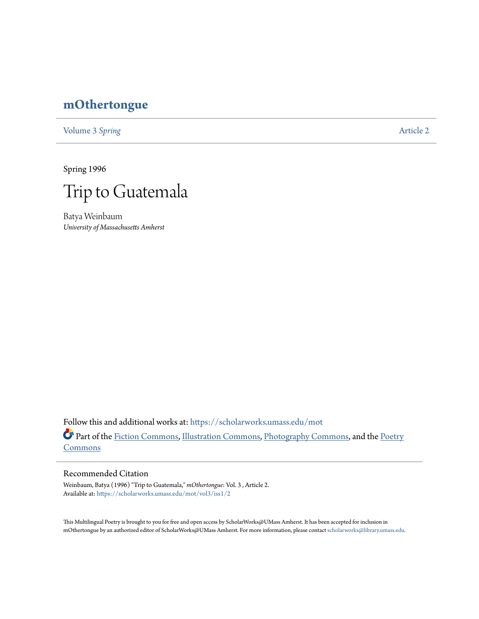## **[mOthertongue](https://scholarworks.umass.edu/mot?utm_source=scholarworks.umass.edu%2Fmot%2Fvol3%2Fiss1%2F2&utm_medium=PDF&utm_campaign=PDFCoverPages)**

[Volume 3](https://scholarworks.umass.edu/mot/vol3?utm_source=scholarworks.umass.edu%2Fmot%2Fvol3%2Fiss1%2F2&utm_medium=PDF&utm_campaign=PDFCoverPages) Spring **[Article 2](https://scholarworks.umass.edu/mot/vol3/iss1/2?utm_source=scholarworks.umass.edu%2Fmot%2Fvol3%2Fiss1%2F2&utm_medium=PDF&utm_campaign=PDFCoverPages)** 

Spring 1996



Batya Weinbaum *University of Massachusetts Amherst*

Follow this and additional works at: [https://scholarworks.umass.edu/mot](https://scholarworks.umass.edu/mot?utm_source=scholarworks.umass.edu%2Fmot%2Fvol3%2Fiss1%2F2&utm_medium=PDF&utm_campaign=PDFCoverPages) Part of the [Fiction Commons](http://network.bepress.com/hgg/discipline/1151?utm_source=scholarworks.umass.edu%2Fmot%2Fvol3%2Fiss1%2F2&utm_medium=PDF&utm_campaign=PDFCoverPages), [Illustration Commons,](http://network.bepress.com/hgg/discipline/1135?utm_source=scholarworks.umass.edu%2Fmot%2Fvol3%2Fiss1%2F2&utm_medium=PDF&utm_campaign=PDFCoverPages) [Photography Commons,](http://network.bepress.com/hgg/discipline/1142?utm_source=scholarworks.umass.edu%2Fmot%2Fvol3%2Fiss1%2F2&utm_medium=PDF&utm_campaign=PDFCoverPages) and the [Poetry](http://network.bepress.com/hgg/discipline/1153?utm_source=scholarworks.umass.edu%2Fmot%2Fvol3%2Fiss1%2F2&utm_medium=PDF&utm_campaign=PDFCoverPages) **[Commons](http://network.bepress.com/hgg/discipline/1153?utm_source=scholarworks.umass.edu%2Fmot%2Fvol3%2Fiss1%2F2&utm_medium=PDF&utm_campaign=PDFCoverPages)** 

## Recommended Citation

Weinbaum, Batya (1996) "Trip to Guatemala," *mOthertongue*: Vol. 3 , Article 2. Available at: [https://scholarworks.umass.edu/mot/vol3/iss1/2](https://scholarworks.umass.edu/mot/vol3/iss1/2?utm_source=scholarworks.umass.edu%2Fmot%2Fvol3%2Fiss1%2F2&utm_medium=PDF&utm_campaign=PDFCoverPages)

This Multilingual Poetry is brought to you for free and open access by ScholarWorks@UMass Amherst. It has been accepted for inclusion in mOthertongue by an authorized editor of ScholarWorks@UMass Amherst. For more information, please contact [scholarworks@library.umass.edu](mailto:scholarworks@library.umass.edu).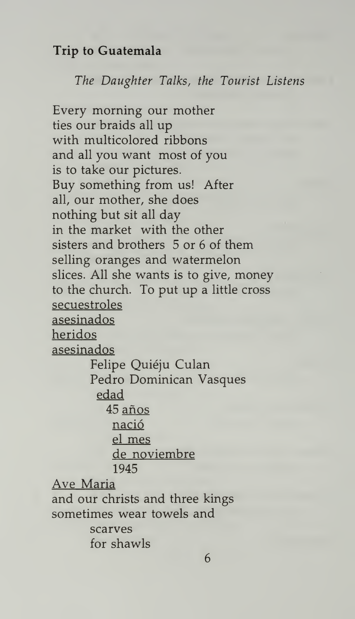## Trip to Guatemala

The Daughter Talks, the Tourist Listens

Every morning our mother ties our braids all up with multicolored ribbons and all you want most of you is to take our pictures. Buy something from us! After all, our mother, she does nothing but sit all day in the market with the other sisters and brothers 5 or 6 of them selling oranges and watermelon slices. All she wants is to give, money to the church. To put up a little cross secuestroles asesinados heridos asesinados Felipe Quiéju Culan Pedro Dominican Vasques edad 45 anos nacio el mes de noviembre 1945 Ave Maria and our christs and three kings sometimes wear towels and scarves for shawls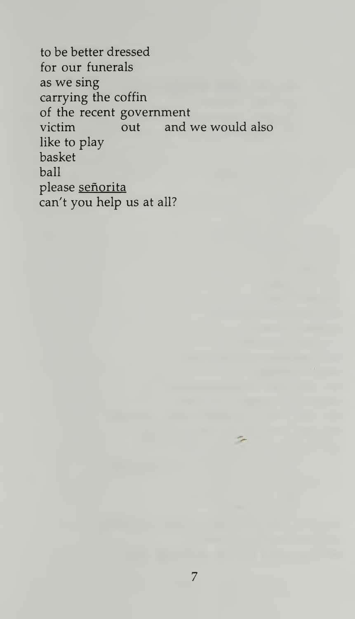to be better dressed for our funerals as we sing carrying the coffin of the recent government<br>victim out and and we would also like to play basket ball please señorita can't you help us at all?

7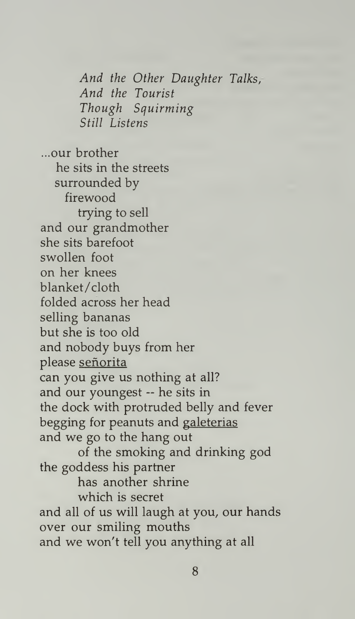And the Other Daughter Talks, And the Tourist Though Squirming Still Listens

...our brother he sits in the streets surrounded by firewood trying to sell and our grandmother she sits barefoot swollen foot on her knees blanket/cloth folded across her head selling bananas but she is too old and nobody buys from her please señorita can you give us nothing at all? and our youngest ~ he sits in the dock with protruded belly and fever begging for peanuts and galeterias and we go to the hang out of the smoking and drinking god the goddess his partner has another shrine which is secret and all of us will laugh at you, our hands over our smiling mouths and we won't tell you anything at all